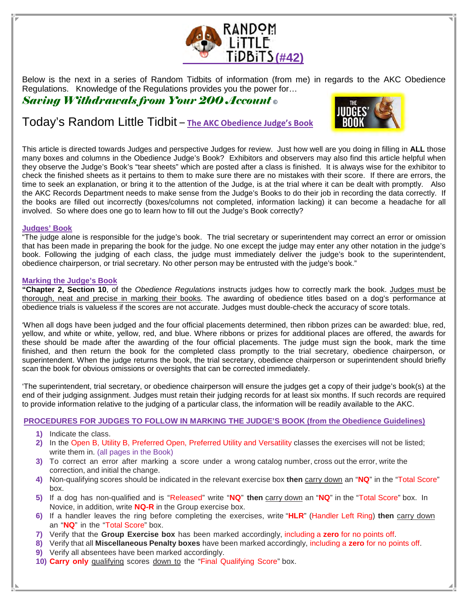

Below is the next in a series of Random Tidbits of information (from me) in regards to the AKC Obedience Regulations. Knowledge of the Regulations provides you the power for…

Saving Withdrawals from Your 200 Account **©** 

# Today's Random Little Tidbit – The AKC Obedience Judge's Book



This article is directed towards Judges and perspective Judges for review. Just how well are you doing in filling in **ALL** those many boxes and columns in the Obedience Judge's Book? Exhibitors and observers may also find this article helpful when they observe the Judge's Book's "tear sheets" which are posted after a class is finished. It is always wise for the exhibitor to check the finished sheets as it pertains to them to make sure there are no mistakes with their score. If there are errors, the time to seek an explanation, or bring it to the attention of the Judge, is at the trial where it can be dealt with promptly. Also the AKC Records Department needs to make sense from the Judge's Books to do their job in recording the data correctly. If the books are filled out incorrectly (boxes/columns not completed, information lacking) it can become a headache for all involved. So where does one go to learn how to fill out the Judge's Book correctly?

## **Judges' Book**

"The judge alone is responsible for the judge's book. The trial secretary or superintendent may correct an error or omission that has been made in preparing the book for the judge. No one except the judge may enter any other notation in the judge's book. Following the judging of each class, the judge must immediately deliver the judge's book to the superintendent, obedience chairperson, or trial secretary. No other person may be entrusted with the judge's book."

## **Marking the Judge's Book**

**"Chapter 2, Section 10**, of the Obedience Regulations instructs judges how to correctly mark the book. Judges must be thorough, neat and precise in marking their books. The awarding of obedience titles based on a dog's performance at obedience trials is valueless if the scores are not accurate. Judges must double-check the accuracy of score totals.

'When all dogs have been judged and the four official placements determined, then ribbon prizes can be awarded: blue, red, yellow, and white or white, yellow, red, and blue. Where ribbons or prizes for additional places are offered, the awards for these should be made after the awarding of the four official placements. The judge must sign the book, mark the time finished, and then return the book for the completed class promptly to the trial secretary, obedience chairperson, or superintendent. When the judge returns the book, the trial secretary, obedience chairperson or superintendent should briefly scan the book for obvious omissions or oversights that can be corrected immediately.

'The superintendent, trial secretary, or obedience chairperson will ensure the judges get a copy of their judge's book(s) at the end of their judging assignment. Judges must retain their judging records for at least six months. If such records are required to provide information relative to the judging of a particular class, the information will be readily available to the AKC.

## **PROCEDURES FOR JUDGES TO FOLLOW IN MARKING THE JUDGE'S BOOK (from the Obedience Guidelines)**

- **1)** Indicate the class.
- **2)** In the Open B, Utility B, Preferred Open, Preferred Utility and Versatility classes the exercises will not be listed; write them in. (all pages in the Book)
- **3)** To correct an error after marking a score under a wrong catalog number, cross out the error, write the correction, and initial the change.
- **4)** Non-qualifying scores should be indicated in the relevant exercise box **then** carry down an "**NQ**" in the "Total Score" box.
- **5)** If a dog has non-qualified and is "Released" write "**NQ**" **then** carry down an "**NQ**" in the "Total Score" box. In Novice, in addition, write **NQ-R** in the Group exercise box.
- **6)** If a handler leaves the ring before completing the exercises, write "**HLR**" (Handler Left Ring) **then** carry down an "**NQ**" in the "Total Score" box.
- **7)** Verify that the **Group Exercise box** has been marked accordingly, including a **zero** for no points off.
- **8)** Verify that all **Miscellaneous Penalty boxes** have been marked accordingly, including a **zero** for no points off.
- **9)** Verify all absentees have been marked accordingly.
- **10) Carry only** qualifying scores down to the "Final Qualifying Score" box.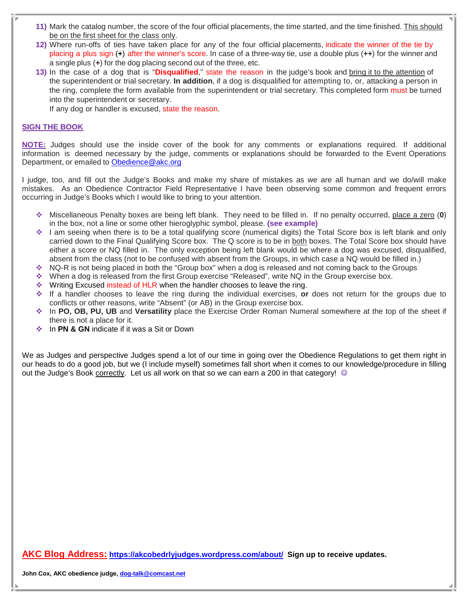- **11)** Mark the catalog number, the score of the four official placements, the time started, and the time finished. This should be on the first sheet for the class only.
- **12)** Where run-offs of ties have taken place for any of the four official placements, indicate the winner of the tie by placing a plus sign (**+**) after the winner's score. In case of a three-way tie, use a double plus (**++**) for the winner and a single plus (**+**) for the dog placing second out of the three, etc.
- **13)** In the case of a dog that is "**Disqualified**," state the reason in the judge's book and bring it to the attention of the superintendent or trial secretary. **In addition**, if a dog is disqualified for attempting to, or, attacking a person in the ring, complete the form available from the superintendent or trial secretary. This completed form must be turned into the superintendent or secretary.

If any dog or handler is excused, state the reason.

# **SIGN THE BOOK**

**NOTE:** Judges should use the inside cover of the book for any comments or explanations required. If additional information is deemed necessary by the judge, comments or explanations should be forwarded to the Event Operations Department, or emailed to Obedience@akc.org

I judge, too, and fill out the Judge's Books and make my share of mistakes as we are all human and we do/will make mistakes. As an Obedience Contractor Field Representative I have been observing some common and frequent errors occurring in Judge's Books which I would like to bring to your attention.

- Miscellaneous Penalty boxes are being left blank. They need to be filled in. If no penalty occurred, place a zero (**0**) in the box, not a line or some other hieroglyphic symbol, please. **(see example)**
- ◆ I am seeing when there is to be a total qualifying score (numerical digits) the Total Score box is left blank and only carried down to the Final Qualifying Score box. The Q score is to be in both boxes. The Total Score box should have either a score or NQ filled in. The only exception being left blank would be where a dog was excused, disqualified, absent from the class (not to be confused with absent from the Groups, in which case a NQ would be filled in.)
- $\cdot$  NQ-R is not being placed in both the "Group box" when a dog is released and not coming back to the Groups
- When a dog is released from the first Group exercise "Released", write NQ in the Group exercise box.
- Writing Excused instead of HLR when the handler chooses to leave the ring.
- If a handler chooses to leave the ring during the individual exercises, **or** does not return for the groups due to conflicts or other reasons, write "Absent" (or AB) in the Group exercise box.
- In **PO, OB, PU, UB** and **Versatility** place the Exercise Order Roman Numeral somewhere at the top of the sheet if there is not a place for it.
- **↑ In PN & GN** indicate if it was a Sit or Down

We as Judges and perspective Judges spend a lot of our time in going over the Obedience Regulations to get them right in our heads to do a good job, but we (I include myself) sometimes fall short when it comes to our knowledge/procedure in filling out the Judge's Book correctly. Let us all work on that so we can earn a 200 in that category! ©

**AKC Blog Address: https://akcobedrlyjudges.wordpress.com/about/ Sign up to receive updates.**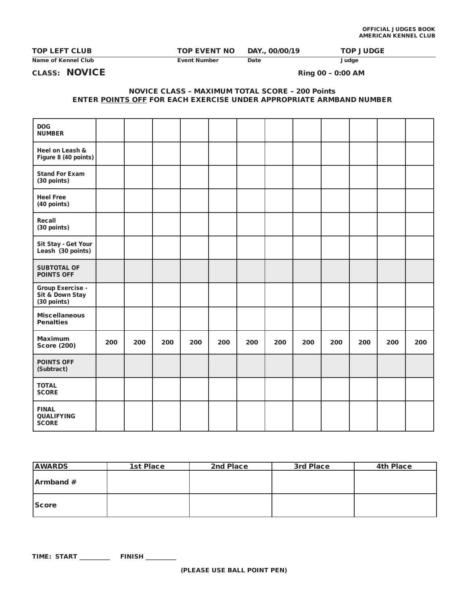| <b>TOP LEFT CLUB</b> | <b>TOP EVENT NO</b> | DAY., 00/00/19 | <b>TOP JUDGE</b> |
|----------------------|---------------------|----------------|------------------|
| Name of Kennel Club  | Event Number        | Date           | Judge            |

CLASS: NOVICE Ring 00 – 0:00 AM

### NOVICE CLASS – MAXIMUM TOTAL SCORE – 200 Points ENTER POINTS OFF FOR EACH EXERCISE UNDER APPROPRIATE ARMBAND NUMBER

| <b>DOG</b><br><b>NUMBER</b>                               |     |     |     |     |     |     |     |     |     |     |     |     |
|-----------------------------------------------------------|-----|-----|-----|-----|-----|-----|-----|-----|-----|-----|-----|-----|
| Heel on Leash &<br>Figure 8 (40 points)                   |     |     |     |     |     |     |     |     |     |     |     |     |
| <b>Stand For Exam</b><br>(30 points)                      |     |     |     |     |     |     |     |     |     |     |     |     |
| <b>Heel Free</b><br>(40 points)                           |     |     |     |     |     |     |     |     |     |     |     |     |
| Recall<br>(30 points)                                     |     |     |     |     |     |     |     |     |     |     |     |     |
| Sit Stay - Get Your<br>Leash (30 points)                  |     |     |     |     |     |     |     |     |     |     |     |     |
| <b>SUBTOTAL OF</b><br><b>POINTS OFF</b>                   |     |     |     |     |     |     |     |     |     |     |     |     |
| <b>Group Exercise -</b><br>Sit & Down Stay<br>(30 points) |     |     |     |     |     |     |     |     |     |     |     |     |
| <b>Miscellaneous</b><br><b>Penalties</b>                  |     |     |     |     |     |     |     |     |     |     |     |     |
| <b>Maximum</b><br><b>Score (200)</b>                      | 200 | 200 | 200 | 200 | 200 | 200 | 200 | 200 | 200 | 200 | 200 | 200 |
| <b>POINTS OFF</b><br>(Subtract)                           |     |     |     |     |     |     |     |     |     |     |     |     |
| <b>TOTAL</b><br><b>SCORE</b>                              |     |     |     |     |     |     |     |     |     |     |     |     |
| <b>FINAL</b><br><b>QUALIFYING</b><br><b>SCORE</b>         |     |     |     |     |     |     |     |     |     |     |     |     |

| <b>AWARDS</b>    | <b>1st Place</b> | 2nd Place | 3rd Place | <b>4th Place</b> |
|------------------|------------------|-----------|-----------|------------------|
| <b>Armband</b> # |                  |           |           |                  |
| <b>Score</b>     |                  |           |           |                  |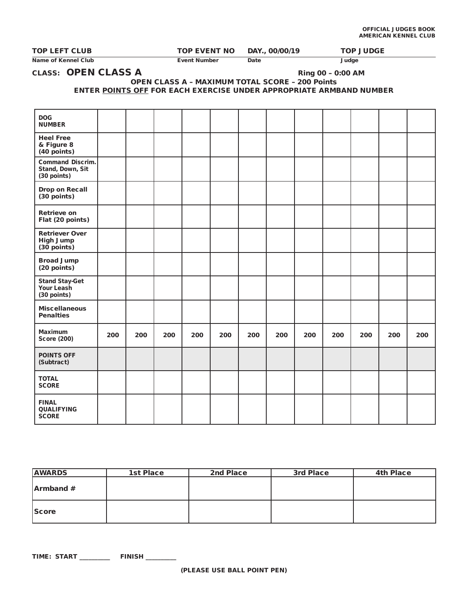| <b>TOP LEFT CLUB</b> | TOP EVENT NO | DAY., 00/00/19 | <b>TOP JUDGE</b> |
|----------------------|--------------|----------------|------------------|
| Name of Kennel Club  | Event Number | Date<br>____   | Judge            |

# CLASS: OPEN CLASS A Ring 00 – 0:00 AM

### OPEN CLASS A – MAXIMUM TOTAL SCORE – 200 Points ENTER POINTS OFF FOR EACH EXERCISE UNDER APPROPRIATE ARMBAND NUMBER

| <b>DOG</b><br><b>NUMBER</b>                                |     |     |     |     |     |     |     |     |     |     |     |     |
|------------------------------------------------------------|-----|-----|-----|-----|-----|-----|-----|-----|-----|-----|-----|-----|
|                                                            |     |     |     |     |     |     |     |     |     |     |     |     |
| <b>Heel Free</b><br>& Figure 8<br>(40 points)              |     |     |     |     |     |     |     |     |     |     |     |     |
| <b>Command Discrim.</b><br>Stand, Down, Sit<br>(30 points) |     |     |     |     |     |     |     |     |     |     |     |     |
| <b>Drop on Recall</b><br>$(30$ points)                     |     |     |     |     |     |     |     |     |     |     |     |     |
| <b>Retrieve on</b><br>Flat (20 points)                     |     |     |     |     |     |     |     |     |     |     |     |     |
| <b>Retriever Over</b><br><b>High Jump</b><br>$(30$ points) |     |     |     |     |     |     |     |     |     |     |     |     |
| <b>Broad Jump</b><br>$(20$ points)                         |     |     |     |     |     |     |     |     |     |     |     |     |
| <b>Stand Stay-Get</b><br>Your Leash<br>(30 points)         |     |     |     |     |     |     |     |     |     |     |     |     |
| <b>Miscellaneous</b><br><b>Penalties</b>                   |     |     |     |     |     |     |     |     |     |     |     |     |
| <b>Maximum</b><br><b>Score (200)</b>                       | 200 | 200 | 200 | 200 | 200 | 200 | 200 | 200 | 200 | 200 | 200 | 200 |
| <b>POINTS OFF</b><br>(Subtract)                            |     |     |     |     |     |     |     |     |     |     |     |     |
| <b>TOTAL</b><br><b>SCORE</b>                               |     |     |     |     |     |     |     |     |     |     |     |     |
| <b>FINAL</b><br><b>QUALIFYING</b><br><b>SCORE</b>          |     |     |     |     |     |     |     |     |     |     |     |     |

| <b>AWARDS</b>    | 1st Place | 2nd Place | 3rd Place | <b>4th Place</b> |
|------------------|-----------|-----------|-----------|------------------|
| <b>Armband</b> # |           |           |           |                  |
| <b>Score</b>     |           |           |           |                  |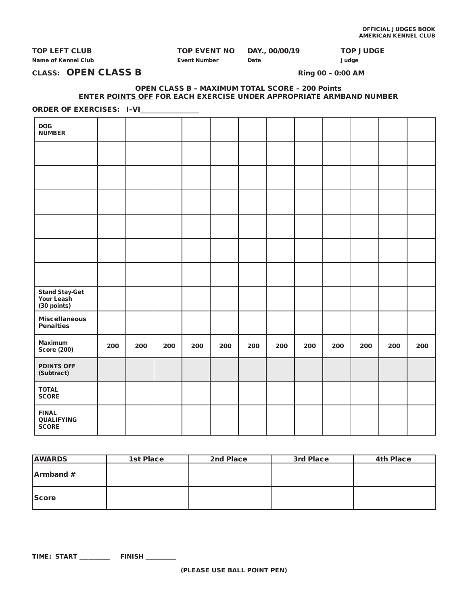| <b>TOP LEFT CLUB</b> | TOP EVENT NO | DAY., 00/00/19 | TOP JUDGE |
|----------------------|--------------|----------------|-----------|
| Name of Kennel Club  | Event Number | Date           | Judge     |

# CLASS: OPEN CLASS B Ring 00 – 0:00 AM

### OPEN CLASS B – MAXIMUM TOTAL SCORE – 200 Points ENTER POINTS OFF FOR EACH EXERCISE UNDER APPROPRIATE ARMBAND NUMBER

ORDER OF EXERCISES: I-VI\_\_\_\_\_\_\_\_\_\_\_\_

| <b>DOG</b><br><b>NUMBER</b>                 |     |     |     |     |     |     |     |     |     |     |     |     |
|---------------------------------------------|-----|-----|-----|-----|-----|-----|-----|-----|-----|-----|-----|-----|
|                                             |     |     |     |     |     |     |     |     |     |     |     |     |
|                                             |     |     |     |     |     |     |     |     |     |     |     |     |
|                                             |     |     |     |     |     |     |     |     |     |     |     |     |
|                                             |     |     |     |     |     |     |     |     |     |     |     |     |
|                                             |     |     |     |     |     |     |     |     |     |     |     |     |
|                                             |     |     |     |     |     |     |     |     |     |     |     |     |
| Stand Stay-Get<br>Your Leash<br>(30 points) |     |     |     |     |     |     |     |     |     |     |     |     |
| <b>Miscellaneous</b><br><b>Penalties</b>    |     |     |     |     |     |     |     |     |     |     |     |     |
| <b>Maximum</b><br><b>Score (200)</b>        | 200 | 200 | 200 | 200 | 200 | 200 | 200 | 200 | 200 | 200 | 200 | 200 |
| <b>POINTS OFF</b><br>(Subtract)             |     |     |     |     |     |     |     |     |     |     |     |     |
| <b>TOTAL</b><br><b>SCORE</b>                |     |     |     |     |     |     |     |     |     |     |     |     |
| <b>FINAL</b><br>QUALIFYING<br><b>SCORE</b>  |     |     |     |     |     |     |     |     |     |     |     |     |

| <b>AWARDS</b> | <b>1st Place</b> | 2nd Place | 3rd Place | <b>4th Place</b> |
|---------------|------------------|-----------|-----------|------------------|
| Armband #     |                  |           |           |                  |
| <b>Score</b>  |                  |           |           |                  |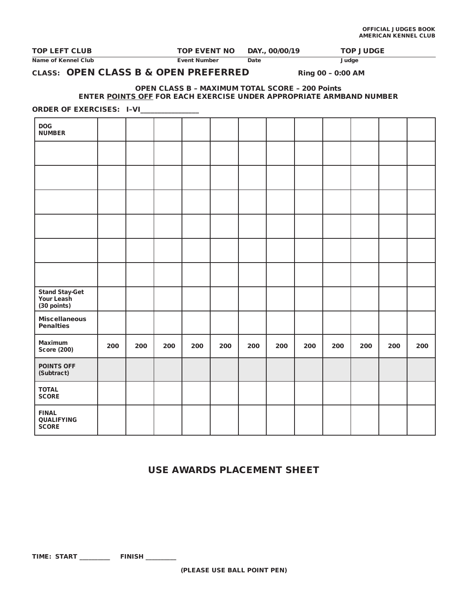| <b>TOP LEFT CLUB</b> | <b>TOP EVENT NO</b> | DAY., 00/00/19 | <b>TOP JUDGE</b> |
|----------------------|---------------------|----------------|------------------|
| Name of Kennel Club  | Event Number        | Date           | Judge            |

# CLASS: OPEN CLASS B & OPEN PREFERRED Ring 00 - 0:00 AM

### OPEN CLASS B – MAXIMUM TOTAL SCORE – 200 Points ENTER POINTS OFF FOR EACH EXERCISE UNDER APPROPRIATE ARMBAND NUMBER

ORDER OF EXERCISES: I-VI\_\_\_\_\_\_\_\_\_\_\_\_

| <b>DOG</b><br><b>NUMBER</b>                 |     |     |     |     |     |     |     |     |     |     |     |     |
|---------------------------------------------|-----|-----|-----|-----|-----|-----|-----|-----|-----|-----|-----|-----|
|                                             |     |     |     |     |     |     |     |     |     |     |     |     |
|                                             |     |     |     |     |     |     |     |     |     |     |     |     |
|                                             |     |     |     |     |     |     |     |     |     |     |     |     |
|                                             |     |     |     |     |     |     |     |     |     |     |     |     |
|                                             |     |     |     |     |     |     |     |     |     |     |     |     |
|                                             |     |     |     |     |     |     |     |     |     |     |     |     |
| Stand Stay-Get<br>Your Leash<br>(30 points) |     |     |     |     |     |     |     |     |     |     |     |     |
| <b>Miscellaneous</b><br><b>Penalties</b>    |     |     |     |     |     |     |     |     |     |     |     |     |
| Maximum<br><b>Score (200)</b>               | 200 | 200 | 200 | 200 | 200 | 200 | 200 | 200 | 200 | 200 | 200 | 200 |
| <b>POINTS OFF</b><br>(Subtract)             |     |     |     |     |     |     |     |     |     |     |     |     |
| <b>TOTAL</b><br><b>SCORE</b>                |     |     |     |     |     |     |     |     |     |     |     |     |
| <b>FINAL</b><br>QUALIFYING<br><b>SCORE</b>  |     |     |     |     |     |     |     |     |     |     |     |     |

# USE AWARDS PLACEMENT SHEET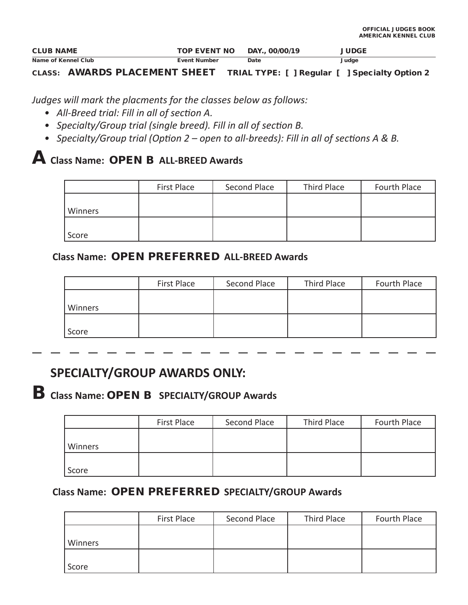| <b>CLUB NAME</b>    | <b>TOP EVENT NO</b> | DAY., 00/00/19 | <b>JUDGE</b> |
|---------------------|---------------------|----------------|--------------|
| Name of Kennel Club | Event Number        | Date           | Judge        |

# CLASS: AWARDS PLACEMENT SHEET TRIAL TYPE: [ ] Regular [ ] Specialty Option 2

*Judges will mark the placments for the classes below as follows:*

- *All-Breed trial: Fill in all of section A.*
- *Specialty/Group trial (single breed). Fill in all of section B.*
- *Specialty/Group trial (Option 2 open to all-breeds): Fill in all of sections A & B.*

# A **Class Name:** OPEN B **ALL-BREED Awards**

|         | First Place | Second Place | Third Place | Fourth Place |
|---------|-------------|--------------|-------------|--------------|
|         |             |              |             |              |
| Winners |             |              |             |              |
|         |             |              |             |              |
| Score   |             |              |             |              |

# A **Class Name:** OPEN PREFERRED **ALL-BREED Awards**

|         | First Place | Second Place | Third Place | Fourth Place |
|---------|-------------|--------------|-------------|--------------|
|         |             |              |             |              |
| Winners |             |              |             |              |
|         |             |              |             |              |
| Score   |             |              |             |              |

# **SPECIALTY/GROUP AWARDS ONLY:**

# B **Class Name:** OPEN B **SPECIALTY/GROUP Awards**

|         | First Place | Second Place | Third Place | Fourth Place |
|---------|-------------|--------------|-------------|--------------|
| Winners |             |              |             |              |
| Score   |             |              |             |              |

# A **Class Name:** OPEN PREFERRED **SPECIALTY/GROUP Awards**

|         | First Place | Second Place | Third Place | Fourth Place |
|---------|-------------|--------------|-------------|--------------|
|         |             |              |             |              |
| Winners |             |              |             |              |
|         |             |              |             |              |
| Score   |             |              |             |              |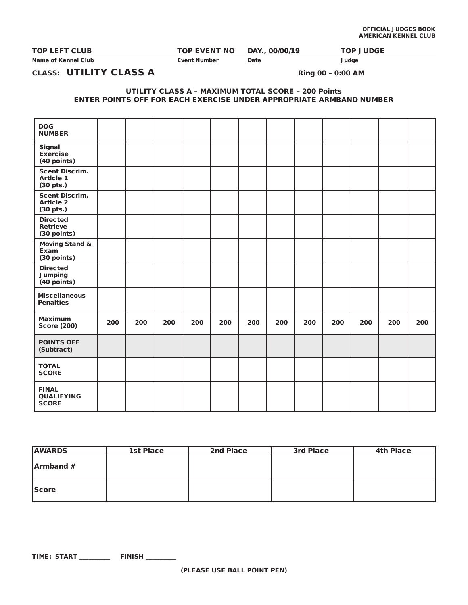Name of Kennel Club **Event Number Date** Date Judge

TOP LEFT CLUB TOP EVENT NO DAY., 00/00/19 TOP JUDGE

CLASS: UTILITY CLASS A Ring 00 - 0:00 AM

UTILITY CLASS A – MAXIMUM TOTAL SCORE – 200 Points ENTER POINTS OFF FOR EACH EXERCISE UNDER APPROPRIATE ARMBAND NUMBER

| <b>DOG</b><br><b>NUMBER</b>                            |     |     |     |     |     |     |     |     |     |     |     |     |
|--------------------------------------------------------|-----|-----|-----|-----|-----|-----|-----|-----|-----|-----|-----|-----|
| Signal<br><b>Exercise</b><br>(40 points)               |     |     |     |     |     |     |     |     |     |     |     |     |
| <b>Scent Discrim.</b><br><b>Article 1</b><br>(30 pts.) |     |     |     |     |     |     |     |     |     |     |     |     |
| <b>Scent Discrim.</b><br><b>Article 2</b><br>(30 pts.) |     |     |     |     |     |     |     |     |     |     |     |     |
| <b>Directed</b><br><b>Retrieve</b><br>(30 points)      |     |     |     |     |     |     |     |     |     |     |     |     |
| <b>Moving Stand &amp;</b><br>Exam<br>(30 points)       |     |     |     |     |     |     |     |     |     |     |     |     |
| <b>Directed</b><br><b>Jumping</b><br>$(40$ points)     |     |     |     |     |     |     |     |     |     |     |     |     |
| <b>Miscellaneous</b><br><b>Penalties</b>               |     |     |     |     |     |     |     |     |     |     |     |     |
| <b>Maximum</b><br><b>Score (200)</b>                   | 200 | 200 | 200 | 200 | 200 | 200 | 200 | 200 | 200 | 200 | 200 | 200 |
| <b>POINTS OFF</b><br>(Subtract)                        |     |     |     |     |     |     |     |     |     |     |     |     |
| <b>TOTAL</b><br><b>SCORE</b>                           |     |     |     |     |     |     |     |     |     |     |     |     |
| <b>FINAL</b><br><b>QUALIFYING</b><br><b>SCORE</b>      |     |     |     |     |     |     |     |     |     |     |     |     |

| <b>AWARDS</b> | 1st Place | 2nd Place | 3rd Place | <b>4th Place</b> |
|---------------|-----------|-----------|-----------|------------------|
| Armband #     |           |           |           |                  |
| <b>Score</b>  |           |           |           |                  |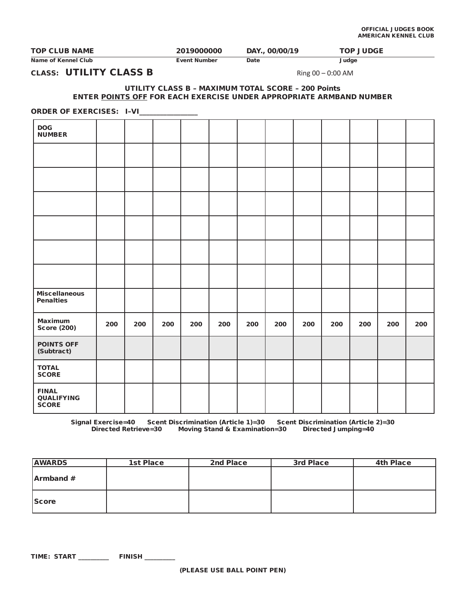| <b>TOP CLUB NAME</b> | 2019000000   | DAY., 00/00/19 | <b>TOP JUDGE</b> |
|----------------------|--------------|----------------|------------------|
| Name of Kennel Club  | Event Number | Date           | Judge            |

CLASS: UTILITY CLASS B Ring  $00 - 0:00$  AM

### UTILITY CLASS B – MAXIMUM TOTAL SCORE – 200 Points ENTER POINTS OFF FOR EACH EXERCISE UNDER APPROPRIATE ARMBAND NUMBER

### ORDER OF EXERCISES: I-VI\_\_\_\_

| <b>DOG</b><br><b>NUMBER</b>                       |     |     |     |     |     |     |     |     |     |     |     |     |
|---------------------------------------------------|-----|-----|-----|-----|-----|-----|-----|-----|-----|-----|-----|-----|
|                                                   |     |     |     |     |     |     |     |     |     |     |     |     |
|                                                   |     |     |     |     |     |     |     |     |     |     |     |     |
|                                                   |     |     |     |     |     |     |     |     |     |     |     |     |
|                                                   |     |     |     |     |     |     |     |     |     |     |     |     |
|                                                   |     |     |     |     |     |     |     |     |     |     |     |     |
|                                                   |     |     |     |     |     |     |     |     |     |     |     |     |
| <b>Miscellaneous</b><br><b>Penalties</b>          |     |     |     |     |     |     |     |     |     |     |     |     |
| <b>Maximum</b><br><b>Score (200)</b>              | 200 | 200 | 200 | 200 | 200 | 200 | 200 | 200 | 200 | 200 | 200 | 200 |
| <b>POINTS OFF</b><br>(Subtract)                   |     |     |     |     |     |     |     |     |     |     |     |     |
| <b>TOTAL</b><br><b>SCORE</b>                      |     |     |     |     |     |     |     |     |     |     |     |     |
| <b>FINAL</b><br><b>QUALIFYING</b><br><b>SCORE</b> |     |     |     |     |     |     |     |     |     |     |     |     |

Signal Exercise=40 Scent Discrimination (Article 1)=30 Scent Discrimination (Article 2)=30<br>Directed Retrieve=30 Moving Stand & Examination=30 Directed Jumping=40 Moving Stand & Examination=30

| <b>AWARDS</b> | 1st Place | 2nd Place | 3rd Place | <b>4th Place</b> |
|---------------|-----------|-----------|-----------|------------------|
| Armband #     |           |           |           |                  |
| <b>Score</b>  |           |           |           |                  |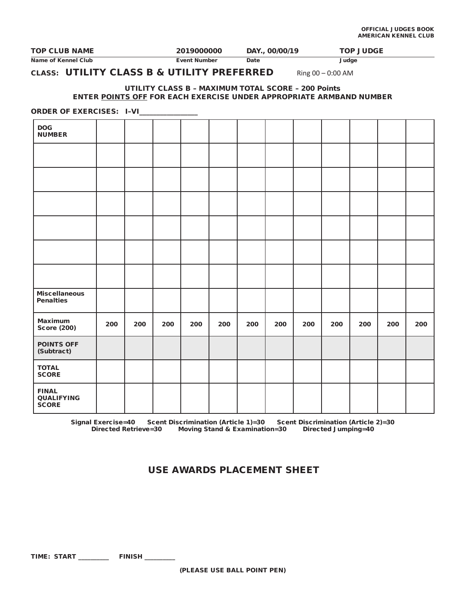| <b>TOP CLUB NAME</b> | 2019000000   | DAY., 00/00/19 | <b>TOP JUDGE</b> |
|----------------------|--------------|----------------|------------------|
| Name of Kennel Club  | Event Number | Date           | Judge            |

# CLASS: UTILITY CLASS B & UTILITY PREFERRED Ring 00 - 0:00 AM

### UTILITY CLASS B – MAXIMUM TOTAL SCORE – 200 Points ENTER POINTS OFF FOR EACH EXERCISE UNDER APPROPRIATE ARMBAND NUMBER

### ORDER OF EXERCISES: I-VI\_\_\_\_

| <b>DOG</b><br><b>NUMBER</b>                       |     |     |     |     |     |     |     |     |     |     |     |     |
|---------------------------------------------------|-----|-----|-----|-----|-----|-----|-----|-----|-----|-----|-----|-----|
|                                                   |     |     |     |     |     |     |     |     |     |     |     |     |
|                                                   |     |     |     |     |     |     |     |     |     |     |     |     |
|                                                   |     |     |     |     |     |     |     |     |     |     |     |     |
|                                                   |     |     |     |     |     |     |     |     |     |     |     |     |
|                                                   |     |     |     |     |     |     |     |     |     |     |     |     |
|                                                   |     |     |     |     |     |     |     |     |     |     |     |     |
| <b>Miscellaneous</b><br><b>Penalties</b>          |     |     |     |     |     |     |     |     |     |     |     |     |
| <b>Maximum</b><br><b>Score (200)</b>              | 200 | 200 | 200 | 200 | 200 | 200 | 200 | 200 | 200 | 200 | 200 | 200 |
| <b>POINTS OFF</b><br>(Subtract)                   |     |     |     |     |     |     |     |     |     |     |     |     |
| <b>TOTAL</b><br><b>SCORE</b>                      |     |     |     |     |     |     |     |     |     |     |     |     |
| <b>FINAL</b><br><b>QUALIFYING</b><br><b>SCORE</b> |     |     |     |     |     |     |     |     |     |     |     |     |

Signal Exercise=40 Scent Discrimination (Article 1)=30 Scent Discrimination (Article 2)=30 Moving Stand & Examination=30 Directed Jumping=40

# USE AWARDS PLACEMENT SHEET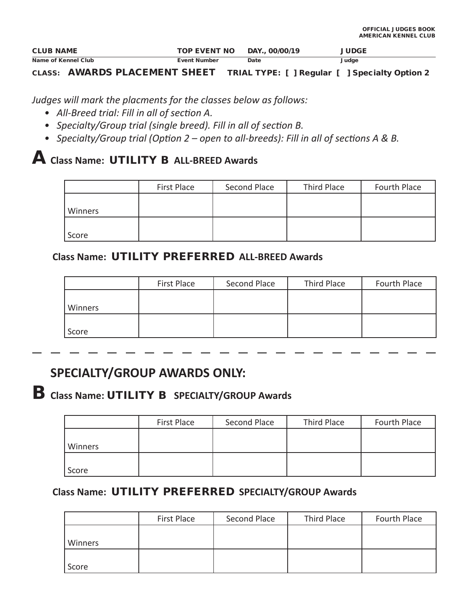| <b>CLUB NAME</b>    | <b>TOP EVENT NO</b> | DAY., 00/00/19 | <b>JUDGE</b> |
|---------------------|---------------------|----------------|--------------|
| Name of Kennel Club | <b>Event Number</b> | Date           | Judge        |

CLASS: AWARDS PLACEMENT SHEET TRIAL TYPE: [ ] Regular [ ] Specialty Option 2

*Judges will mark the placments for the classes below as follows:*

- *All-Breed trial: Fill in all of section A.*
- *Specialty/Group trial (single breed). Fill in all of section B.*
- *Specialty/Group trial (Option 2 open to all-breeds): Fill in all of sections A & B.*

# A **Class Name:** UTILITY B **ALL-BREED Awards**

|         | First Place | Second Place | Third Place | Fourth Place |
|---------|-------------|--------------|-------------|--------------|
| Winners |             |              |             |              |
|         |             |              |             |              |
| Score   |             |              |             |              |

# A **Class Name:** UTILITY PREFERRED **ALL-BREED Awards**

|         | First Place | Second Place | Third Place | Fourth Place |
|---------|-------------|--------------|-------------|--------------|
| Winners |             |              |             |              |
| Score   |             |              |             |              |

# **SPECIALTY/GROUP AWARDS ONLY:**

B **Class Name:** UTILITY B **SPECIALTY/GROUP Awards**

|         | First Place | Second Place | Third Place | Fourth Place |
|---------|-------------|--------------|-------------|--------------|
|         |             |              |             |              |
| Winners |             |              |             |              |
| Score   |             |              |             |              |

# A **Class Name:** UTILITY PREFERRED **SPECIALTY/GROUP Awards**

|         | First Place | Second Place | Third Place | Fourth Place |
|---------|-------------|--------------|-------------|--------------|
|         |             |              |             |              |
| Winners |             |              |             |              |
|         |             |              |             |              |
| Score   |             |              |             |              |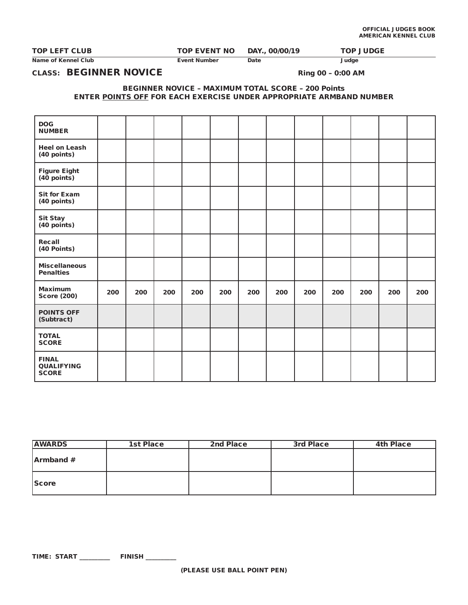| <b>TOP LEFT CLUB</b> | <b>TOP EVENT NO</b> | DAY., 00/00/19 | <b>TOP JUDGE</b> |
|----------------------|---------------------|----------------|------------------|

# CLASS: BEGINNER NOVICE Ring 00 - 0:00 AM

### BEGINNER NOVICE – MAXIMUM TOTAL SCORE – 200 Points ENTER POINTS OFF FOR EACH EXERCISE UNDER APPROPRIATE ARMBAND NUMBER

| <b>DOG</b><br><b>NUMBER</b>                       |     |     |     |     |     |     |     |     |     |     |     |     |
|---------------------------------------------------|-----|-----|-----|-----|-----|-----|-----|-----|-----|-----|-----|-----|
| <b>Heel on Leash</b><br>(40 points)               |     |     |     |     |     |     |     |     |     |     |     |     |
| <b>Figure Eight</b><br>$(40$ points)              |     |     |     |     |     |     |     |     |     |     |     |     |
| <b>Sit for Exam</b><br>(40 points)                |     |     |     |     |     |     |     |     |     |     |     |     |
| <b>Sit Stay</b><br>(40 points)                    |     |     |     |     |     |     |     |     |     |     |     |     |
| Recall<br>(40 Points)                             |     |     |     |     |     |     |     |     |     |     |     |     |
| <b>Miscellaneous</b><br><b>Penalties</b>          |     |     |     |     |     |     |     |     |     |     |     |     |
| <b>Maximum</b><br><b>Score (200)</b>              | 200 | 200 | 200 | 200 | 200 | 200 | 200 | 200 | 200 | 200 | 200 | 200 |
| <b>POINTS OFF</b><br>(Subtract)                   |     |     |     |     |     |     |     |     |     |     |     |     |
| <b>TOTAL</b><br><b>SCORE</b>                      |     |     |     |     |     |     |     |     |     |     |     |     |
| <b>FINAL</b><br><b>QUALIFYING</b><br><b>SCORE</b> |     |     |     |     |     |     |     |     |     |     |     |     |

| <b>AWARDS</b> | 1st Place | 2nd Place | 3rd Place | <b>4th Place</b> |
|---------------|-----------|-----------|-----------|------------------|
| Armband #     |           |           |           |                  |
| <b>Score</b>  |           |           |           |                  |

Name of Kennel Club **Event Number** Date Date Judge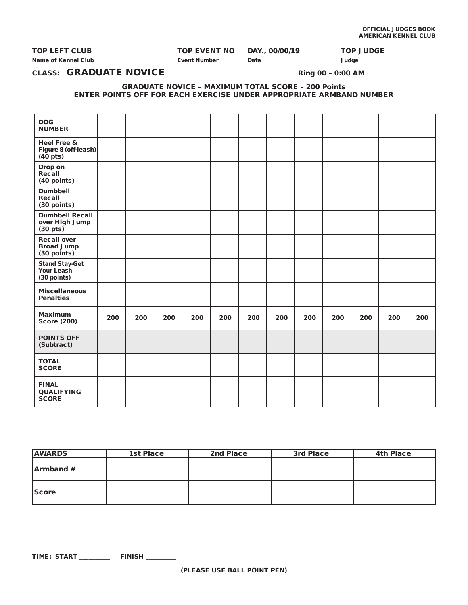| <b>TOP LEFT CLUB</b> | <b>TOP EVENT NO</b> | DAY., 00/00/19 | <b>TOP JUDGE</b> |
|----------------------|---------------------|----------------|------------------|

Name of Kennel Club **Event Number Date** Date Judge

CLASS: GRADUATE NOVICE Ring 00 - 0:00 AM

GRADUATE NOVICE – MAXIMUM TOTAL SCORE – 200 Points ENTER POINTS OFF FOR EACH EXERCISE UNDER APPROPRIATE ARMBAND NUMBER

| <b>DOG</b><br><b>NUMBER</b>                                    |     |     |     |     |     |     |     |     |     |     |     |     |
|----------------------------------------------------------------|-----|-----|-----|-----|-----|-----|-----|-----|-----|-----|-----|-----|
| Heel Free &<br>Figure 8 (off-leash)<br>$(40$ pts)              |     |     |     |     |     |     |     |     |     |     |     |     |
| Drop on<br>Recall<br>(40 points)                               |     |     |     |     |     |     |     |     |     |     |     |     |
| <b>Dumbbell</b><br>Recall<br>(30 points)                       |     |     |     |     |     |     |     |     |     |     |     |     |
| <b>Dumbbell Recall</b><br>over High Jump<br>$(30 \text{ pts})$ |     |     |     |     |     |     |     |     |     |     |     |     |
| <b>Recall over</b><br><b>Broad Jump</b><br>(30 points)         |     |     |     |     |     |     |     |     |     |     |     |     |
| <b>Stand Stay-Get</b><br>Your Leash<br>(30 points)             |     |     |     |     |     |     |     |     |     |     |     |     |
| <b>Miscellaneous</b><br><b>Penalties</b>                       |     |     |     |     |     |     |     |     |     |     |     |     |
| <b>Maximum</b><br><b>Score (200)</b>                           | 200 | 200 | 200 | 200 | 200 | 200 | 200 | 200 | 200 | 200 | 200 | 200 |
| <b>POINTS OFF</b><br>(Subtract)                                |     |     |     |     |     |     |     |     |     |     |     |     |
| <b>TOTAL</b><br><b>SCORE</b>                                   |     |     |     |     |     |     |     |     |     |     |     |     |
| <b>FINAL</b><br><b>QUALIFYING</b><br><b>SCORE</b>              |     |     |     |     |     |     |     |     |     |     |     |     |

| <b>AWARDS</b>    | <b>1st Place</b> | 2nd Place | 3rd Place | <b>4th Place</b> |
|------------------|------------------|-----------|-----------|------------------|
| <b>Armband</b> # |                  |           |           |                  |
| Score            |                  |           |           |                  |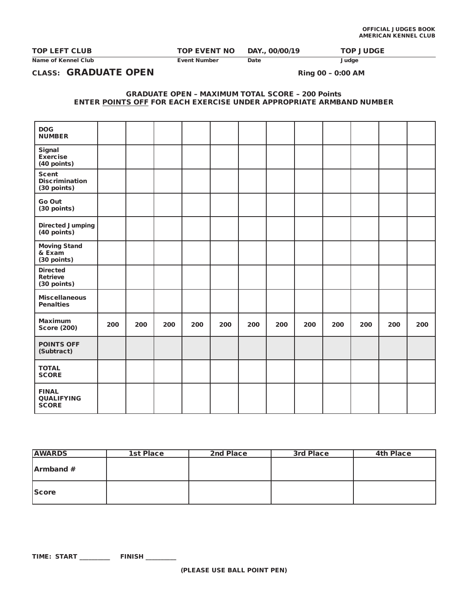TOP LEFT CLUB TOP EVENT NO DAY., 00/00/19 TOP JUDGE

Name of Kennel Club **Event Number** Date Date Judge

# CLASS: GRADUATE OPEN Ring 00 - 0:00 AM

### GRADUATE OPEN – MAXIMUM TOTAL SCORE – 200 Points ENTER POINTS OFF FOR EACH EXERCISE UNDER APPROPRIATE ARMBAND NUMBER

| <b>DOG</b><br><b>NUMBER</b>                          |     |     |     |     |     |     |     |     |     |     |     |     |
|------------------------------------------------------|-----|-----|-----|-----|-----|-----|-----|-----|-----|-----|-----|-----|
| Signal<br><b>Exercise</b><br>(40 points)             |     |     |     |     |     |     |     |     |     |     |     |     |
| <b>Scent</b><br><b>Discrimination</b><br>(30 points) |     |     |     |     |     |     |     |     |     |     |     |     |
| Go Out<br>(30 points)                                |     |     |     |     |     |     |     |     |     |     |     |     |
| Directed Jumping<br>(40 points)                      |     |     |     |     |     |     |     |     |     |     |     |     |
| <b>Moving Stand</b><br>& Exam<br>(30 points)         |     |     |     |     |     |     |     |     |     |     |     |     |
| <b>Directed</b><br><b>Retrieve</b><br>(30 points)    |     |     |     |     |     |     |     |     |     |     |     |     |
| <b>Miscellaneous</b><br><b>Penalties</b>             |     |     |     |     |     |     |     |     |     |     |     |     |
| <b>Maximum</b><br><b>Score (200)</b>                 | 200 | 200 | 200 | 200 | 200 | 200 | 200 | 200 | 200 | 200 | 200 | 200 |
| <b>POINTS OFF</b><br>(Subtract)                      |     |     |     |     |     |     |     |     |     |     |     |     |
| <b>TOTAL</b><br><b>SCORE</b>                         |     |     |     |     |     |     |     |     |     |     |     |     |
| <b>FINAL</b><br><b>QUALIFYING</b><br><b>SCORE</b>    |     |     |     |     |     |     |     |     |     |     |     |     |

| <b>AWARDS</b> | 1st Place | 2nd Place | 3rd Place | <b>4th Place</b> |
|---------------|-----------|-----------|-----------|------------------|
| Armband #     |           |           |           |                  |
| <b>Score</b>  |           |           |           |                  |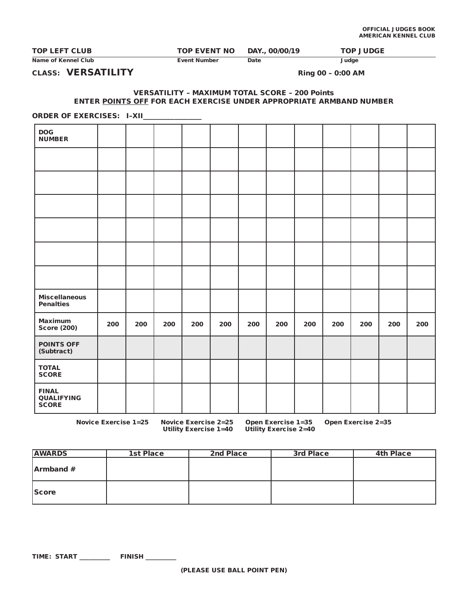| <b>TOP LEFT CLUB</b> | <b>TOP EVENT NO DAY., 00/00/19</b> |      | <b>TOP JUDGE</b> |
|----------------------|------------------------------------|------|------------------|
| Name of Kennel Club  | <b>Event Number</b>                | Date | Judge            |

CLASS: VERSATILITY Ring 00 - 0:00 AM

### VERSATILITY – MAXIMUM TOTAL SCORE – 200 Points ENTER POINTS OFF FOR EACH EXERCISE UNDER APPROPRIATE ARMBAND NUMBER

ORDER OF EXERCISES: I-XII\_\_\_\_\_\_\_\_\_\_\_\_

| <b>DOG</b><br><b>NUMBER</b>                       |     |     |     |     |     |     |     |     |     |     |     |     |
|---------------------------------------------------|-----|-----|-----|-----|-----|-----|-----|-----|-----|-----|-----|-----|
|                                                   |     |     |     |     |     |     |     |     |     |     |     |     |
|                                                   |     |     |     |     |     |     |     |     |     |     |     |     |
|                                                   |     |     |     |     |     |     |     |     |     |     |     |     |
|                                                   |     |     |     |     |     |     |     |     |     |     |     |     |
|                                                   |     |     |     |     |     |     |     |     |     |     |     |     |
|                                                   |     |     |     |     |     |     |     |     |     |     |     |     |
| <b>Miscellaneous</b><br><b>Penalties</b>          |     |     |     |     |     |     |     |     |     |     |     |     |
| <b>Maximum</b><br><b>Score (200)</b>              | 200 | 200 | 200 | 200 | 200 | 200 | 200 | 200 | 200 | 200 | 200 | 200 |
| <b>POINTS OFF</b><br>(Subtract)                   |     |     |     |     |     |     |     |     |     |     |     |     |
| <b>TOTAL</b><br><b>SCORE</b>                      |     |     |     |     |     |     |     |     |     |     |     |     |
| <b>FINAL</b><br><b>QUALIFYING</b><br><b>SCORE</b> |     |     |     |     |     |     |     |     |     |     |     |     |

Novice Exercise 1=25 Novice Exercise 2=25 Open Exercise 1=35 Open Exercise 2=35 Utility Exercise 1=40 Utility Exercise 2=40

| <b>AWARDS</b> | 1st Place | 2nd Place | 3rd Place | <b>4th Place</b> |
|---------------|-----------|-----------|-----------|------------------|
| Armband #     |           |           |           |                  |
| <b>Score</b>  |           |           |           |                  |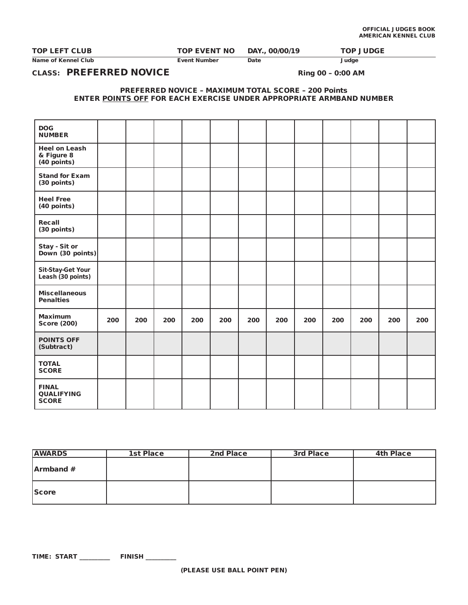| <b>TOP LEFT CLUB</b> |  |
|----------------------|--|
|----------------------|--|

Name of Kennel Club **Event Number Date** Date Judge

TOP EVENT NO DAY., 00/00/19 TOP JUDGE

CLASS: PREFERRED NOVICE Ring 00 - 0:00 AM

PREFERRED NOVICE – MAXIMUM TOTAL SCORE – 200 Points ENTER POINTS OFF FOR EACH EXERCISE UNDER APPROPRIATE ARMBAND NUMBER

| <b>DOG</b>                                        |     |     |     |     |     |     |     |     |     |     |     |     |
|---------------------------------------------------|-----|-----|-----|-----|-----|-----|-----|-----|-----|-----|-----|-----|
| <b>NUMBER</b>                                     |     |     |     |     |     |     |     |     |     |     |     |     |
| <b>Heel on Leash</b><br>& Figure 8<br>(40 points) |     |     |     |     |     |     |     |     |     |     |     |     |
| <b>Stand for Exam</b><br>(30 points)              |     |     |     |     |     |     |     |     |     |     |     |     |
| <b>Heel Free</b><br>(40 points)                   |     |     |     |     |     |     |     |     |     |     |     |     |
| Recall<br>(30 points)                             |     |     |     |     |     |     |     |     |     |     |     |     |
| Stay - Sit or<br>Down (30 points)                 |     |     |     |     |     |     |     |     |     |     |     |     |
| <b>Sit-Stay-Get Your</b><br>Leash (30 points)     |     |     |     |     |     |     |     |     |     |     |     |     |
| <b>Miscellaneous</b><br><b>Penalties</b>          |     |     |     |     |     |     |     |     |     |     |     |     |
| <b>Maximum</b><br><b>Score (200)</b>              | 200 | 200 | 200 | 200 | 200 | 200 | 200 | 200 | 200 | 200 | 200 | 200 |
| <b>POINTS OFF</b><br>(Subtract)                   |     |     |     |     |     |     |     |     |     |     |     |     |
| <b>TOTAL</b><br><b>SCORE</b>                      |     |     |     |     |     |     |     |     |     |     |     |     |
| <b>FINAL</b><br><b>QUALIFYING</b><br><b>SCORE</b> |     |     |     |     |     |     |     |     |     |     |     |     |

| <b>AWARDS</b> | 1st Place | 2nd Place | 3rd Place | <b>4th Place</b> |
|---------------|-----------|-----------|-----------|------------------|
| Armband #     |           |           |           |                  |
| <b>Score</b>  |           |           |           |                  |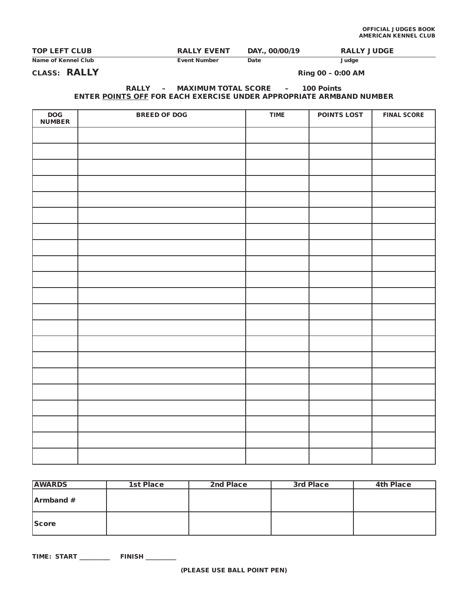| <b>TOP LEFT CLUB</b> | <b>RALLY EVENT</b> | DAY., 00/00/19 | <b>RALLY JUDGE</b> |
|----------------------|--------------------|----------------|--------------------|
| Name of Kennel Club  | Event Number       | Date           | Judge              |

CLASS: RALLY Ring 00 – 0:00 AM

## RALLY – MAXIMUM TOTAL SCORE – 100 Points ENTER POINTS OFF FOR EACH EXERCISE UNDER APPROPRIATE ARMBAND NUMBER

| $\mathsf{DOG}\xspace$<br><b>NUMBER</b> | <b>BREED OF DOG</b> | <b>TIME</b> | <b>POINTS LOST</b> | <b>FINAL SCORE</b> |
|----------------------------------------|---------------------|-------------|--------------------|--------------------|
|                                        |                     |             |                    |                    |
|                                        |                     |             |                    |                    |
|                                        |                     |             |                    |                    |
|                                        |                     |             |                    |                    |
|                                        |                     |             |                    |                    |
|                                        |                     |             |                    |                    |
|                                        |                     |             |                    |                    |
|                                        |                     |             |                    |                    |
|                                        |                     |             |                    |                    |
|                                        |                     |             |                    |                    |
|                                        |                     |             |                    |                    |
|                                        |                     |             |                    |                    |
|                                        |                     |             |                    |                    |
|                                        |                     |             |                    |                    |
|                                        |                     |             |                    |                    |
|                                        |                     |             |                    |                    |
|                                        |                     |             |                    |                    |
|                                        |                     |             |                    |                    |
|                                        |                     |             |                    |                    |
|                                        |                     |             |                    |                    |
|                                        |                     |             |                    |                    |

| <b>AWARDS</b> | 1st Place | 2nd Place | 3rd Place | <b>4th Place</b> |
|---------------|-----------|-----------|-----------|------------------|
| Armband#      |           |           |           |                  |
| <b>Score</b>  |           |           |           |                  |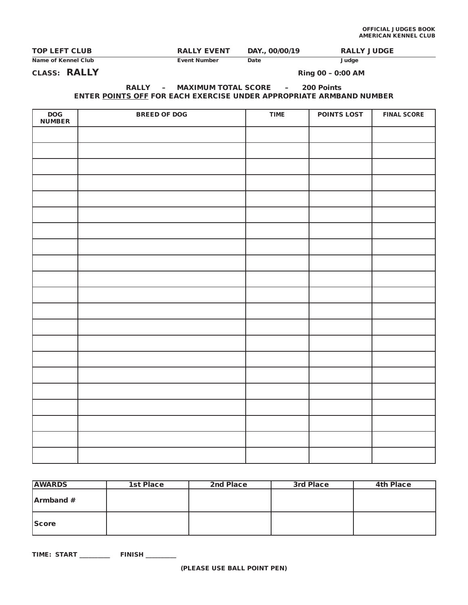| <b>TOP LEFT CLUB</b> | <b>RALLY EVENT</b>  | DAY., 00/00/19 | <b>RALLY JUDGE</b> |
|----------------------|---------------------|----------------|--------------------|
| Name of Kennel Club  | <b>Event Number</b> | Date           | Judge              |

CLASS: RALLY Ring 00 – 0:00 AM

## RALLY – MAXIMUM TOTAL SCORE – 200 Points ENTER POINTS OFF FOR EACH EXERCISE UNDER APPROPRIATE ARMBAND NUMBER

| DOG<br>NUMBER | <b>BREED OF DOG</b> | <b>TIME</b> | <b>POINTS LOST</b> | <b>FINAL SCORE</b> |
|---------------|---------------------|-------------|--------------------|--------------------|
|               |                     |             |                    |                    |
|               |                     |             |                    |                    |
|               |                     |             |                    |                    |
|               |                     |             |                    |                    |
|               |                     |             |                    |                    |
|               |                     |             |                    |                    |
|               |                     |             |                    |                    |
|               |                     |             |                    |                    |
|               |                     |             |                    |                    |
|               |                     |             |                    |                    |
|               |                     |             |                    |                    |
|               |                     |             |                    |                    |
|               |                     |             |                    |                    |
|               |                     |             |                    |                    |
|               |                     |             |                    |                    |
|               |                     |             |                    |                    |
|               |                     |             |                    |                    |
|               |                     |             |                    |                    |
|               |                     |             |                    |                    |
|               |                     |             |                    |                    |
|               |                     |             |                    |                    |

| <b>AWARDS</b> | 1st Place | 2nd Place | 3rd Place | <b>4th Place</b> |
|---------------|-----------|-----------|-----------|------------------|
| Armband #     |           |           |           |                  |
| <b>Score</b>  |           |           |           |                  |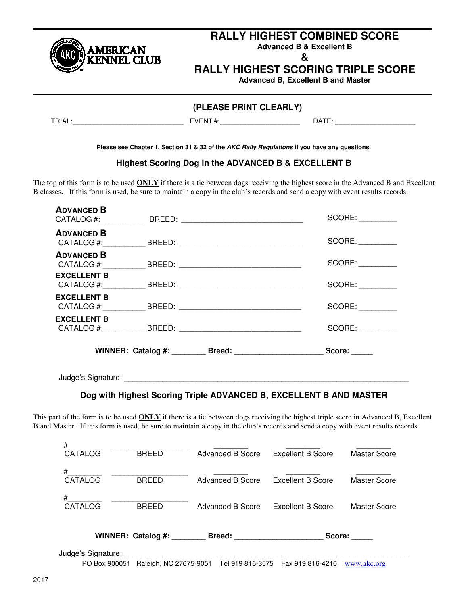

# **RALLY HIGHEST COMBINED SCORE**

**Advanced B & Excellent B** 

**&** 

# **RALLY HIGHEST SCORING TRIPLE SCORE**

**Advanced B, Excellent B and Master** 

# **(PLEASE PRINT CLEARLY)**

TRIAL:\_\_\_\_\_\_\_\_\_\_\_\_\_\_\_\_\_\_\_\_\_\_\_\_\_\_\_\_\_ EVENT #:\_\_\_\_\_\_\_\_\_\_\_\_\_\_\_\_\_\_\_\_\_ DATE: \_\_\_\_\_\_\_\_\_\_\_\_\_\_\_\_\_\_\_\_\_

**Please see Chapter 1, Section 31 & 32 of the AKC Rally Regulations if you have any questions.** 

## **Highest Scoring Dog in the ADVANCED B & EXCELLENT B**

The top of this form is to be used **ONLY** if there is a tie between dogs receiving the highest score in the Advanced B and Excellent B classes**.** If this form is used, be sure to maintain a copy in the club's records and send a copy with event results records.

| Judge's Signature: |                                  |        |
|--------------------|----------------------------------|--------|
|                    | WINNER: Catalog #: Breed: Breed: | Score  |
| <b>EXCELLENT B</b> |                                  | SCORE: |
| <b>EXCELLENT B</b> |                                  | SCORE: |
| <b>EXCELLENT B</b> |                                  | SCORE: |
| <b>ADVANCED B</b>  |                                  | SCORE: |
| <b>ADVANCED B</b>  |                                  | SCORE: |
| <b>ADVANCED B</b>  |                                  | SCORE: |

# **Dog with Highest Scoring Triple ADVANCED B, EXCELLENT B AND MASTER**

This part of the form is to be used **ONLY** if there is a tie between dogs receiving the highest triple score in Advanced B, Excellent B and Master. If this form is used, be sure to maintain a copy in the club's records and send a copy with event results records.

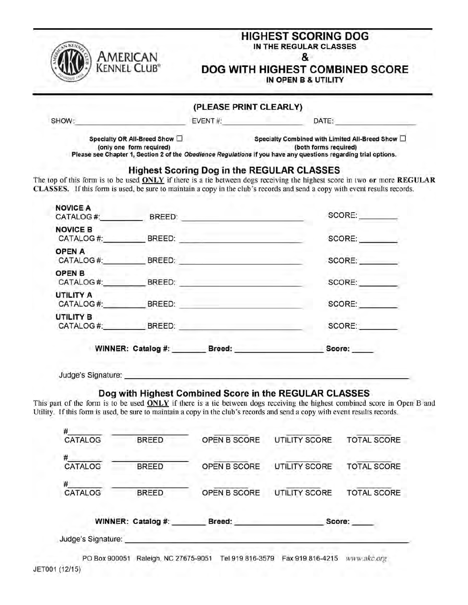| American<br>Kennel Club"                                                                                                    |                    | <b>HIGHEST SCORING DOG</b><br>IN THE REGULAR CLASSES<br>&<br>DOG WITH HIGHEST COMBINED SCORE<br>IN OPEN B & UTILITY                                                                               |                                           |                                                                                                                            |
|-----------------------------------------------------------------------------------------------------------------------------|--------------------|---------------------------------------------------------------------------------------------------------------------------------------------------------------------------------------------------|-------------------------------------------|----------------------------------------------------------------------------------------------------------------------------|
|                                                                                                                             |                    | (PLEASE PRINT CLEARLY)                                                                                                                                                                            |                                           |                                                                                                                            |
| SHOW:                                                                                                                       |                    |                                                                                                                                                                                                   | EVENT #:<br>DATE: A CONTRACTOR CONTRACTOR |                                                                                                                            |
| Specialty OR All-Breed Show $\square$<br>(only one form required)                                                           |                    | Specialty Combined with Limited All-Breed Show $\Box$<br>(both forms required)<br>Please see Chapter 1, Section 2 of the Obedience Regulations if you have any questions regarding trial options. |                                           |                                                                                                                            |
| CLASSES. If this form is used, be sure to maintain a copy in the club's records and send a copy with event results records. |                    | <b>Highest Scoring Dog in the REGULAR CLASSES</b>                                                                                                                                                 |                                           | The top of this form is to be used ONLY if there is a tie between dogs receiving the highest score in two or more REGULAR  |
| <b>NOVICE A</b>                                                                                                             |                    |                                                                                                                                                                                                   |                                           | SCORE:                                                                                                                     |
| <b>NOVICE B</b>                                                                                                             |                    | CATALOG #: BREED: BREED:                                                                                                                                                                          |                                           | SCORE:                                                                                                                     |
| <b>OPEN A</b>                                                                                                               |                    | CATALOG #: BREED: BREED:                                                                                                                                                                          | SCORE:                                    |                                                                                                                            |
| OPEN B                                                                                                                      |                    |                                                                                                                                                                                                   |                                           | SCORE:                                                                                                                     |
| <b>UTILITY A</b>                                                                                                            |                    |                                                                                                                                                                                                   |                                           | SCORE:                                                                                                                     |
| <b>UTILITY B</b>                                                                                                            |                    |                                                                                                                                                                                                   |                                           | SCORE:                                                                                                                     |
|                                                                                                                             |                    | WINNER: Catalog #: Breed: Breed:                                                                                                                                                                  |                                           | Score:                                                                                                                     |
| Judge's Signature:                                                                                                          |                    |                                                                                                                                                                                                   |                                           |                                                                                                                            |
| Utility. If this form is used, be sure to maintain a copy in the club's records and send a copy with event results records. |                    | Dog with Highest Combined Score in the REGULAR CLASSES                                                                                                                                            |                                           | This part of the form is to be used ONLY if there is a tie between dogs receiving the highest combined score in Open B and |
| CATALOG                                                                                                                     | <b>BREED</b>       | OPEN B SCORE                                                                                                                                                                                      | <b>UTILITY SCORE</b>                      | <b>TOTAL SCORE</b>                                                                                                         |
| CATALOG                                                                                                                     | <b>BREED</b>       | OPEN B SCORE                                                                                                                                                                                      | <b>UTILITY SCORE</b>                      | <b>TOTAL SCORE</b>                                                                                                         |
| CATALOG                                                                                                                     | <b>BREED</b>       | OPEN B SCORE                                                                                                                                                                                      | <b>UTILITY SCORE</b>                      | <b>TOTAL SCORE</b>                                                                                                         |
|                                                                                                                             |                    |                                                                                                                                                                                                   |                                           |                                                                                                                            |
|                                                                                                                             | WINNER: Catalog #: | Breed:                                                                                                                                                                                            | Score:                                    |                                                                                                                            |

|  | the contract of the contract of the contract of the contract of the contract of the contract of the contract of |
|--|-----------------------------------------------------------------------------------------------------------------|
|  |                                                                                                                 |
|  |                                                                                                                 |
|  |                                                                                                                 |

Judge's Signature:

PO Box 900051 Raleigh, NC 27675-9051 Tel 919 816-3579 Fax 919 816-4215 WWW.akc.org JET001 (12/15)